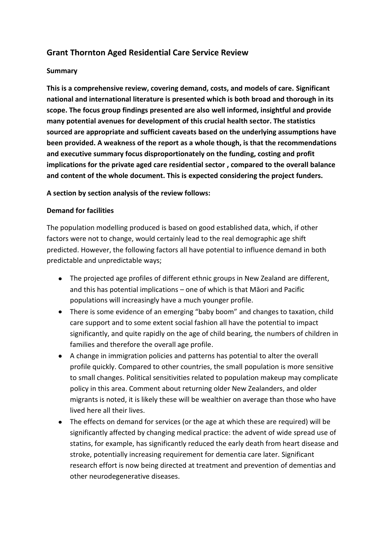# **Grant Thornton Aged Residential Care Service Review**

#### **Summary**

**This is a comprehensive review, covering demand, costs, and models of care. Significant national and international literature is presented which is both broad and thorough in its scope. The focus group findings presented are also well informed, insightful and provide many potential avenues for development of this crucial health sector. The statistics sourced are appropriate and sufficient caveats based on the underlying assumptions have been provided. A weakness of the report as a whole though, is that the recommendations and executive summary focus disproportionately on the funding, costing and profit implications for the private aged care residential sector , compared to the overall balance and content of the whole document. This is expected considering the project funders.** 

#### **A section by section analysis of the review follows:**

#### **Demand for facilities**

The population modelling produced is based on good established data, which, if other factors were not to change, would certainly lead to the real demographic age shift predicted. However, the following factors all have potential to influence demand in both predictable and unpredictable ways;

- The projected age profiles of different ethnic groups in New Zealand are different, and this has potential implications – one of which is that Māori and Pacific populations will increasingly have a much younger profile.
- There is some evidence of an emerging "baby boom" and changes to taxation, child care support and to some extent social fashion all have the potential to impact significantly, and quite rapidly on the age of child bearing, the numbers of children in families and therefore the overall age profile.
- A change in immigration policies and patterns has potential to alter the overall profile quickly. Compared to other countries, the small population is more sensitive to small changes. Political sensitivities related to population makeup may complicate policy in this area. Comment about returning older New Zealanders, and older migrants is noted, it is likely these will be wealthier on average than those who have lived here all their lives.
- The effects on demand for services (or the age at which these are required) will be significantly affected by changing medical practice: the advent of wide spread use of statins, for example, has significantly reduced the early death from heart disease and stroke, potentially increasing requirement for dementia care later. Significant research effort is now being directed at treatment and prevention of dementias and other neurodegenerative diseases.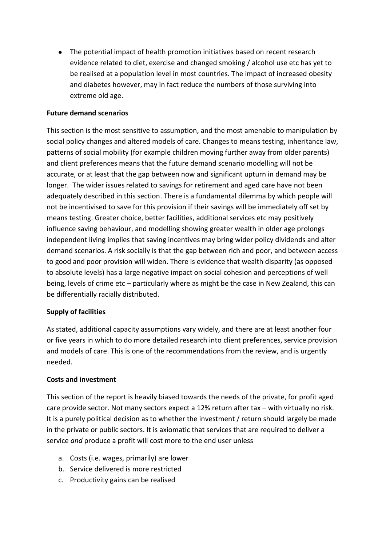The potential impact of health promotion initiatives based on recent research evidence related to diet, exercise and changed smoking / alcohol use etc has yet to be realised at a population level in most countries. The impact of increased obesity and diabetes however, may in fact reduce the numbers of those surviving into extreme old age.

### **Future demand scenarios**

This section is the most sensitive to assumption, and the most amenable to manipulation by social policy changes and altered models of care. Changes to means testing, inheritance law, patterns of social mobility (for example children moving further away from older parents) and client preferences means that the future demand scenario modelling will not be accurate, or at least that the gap between now and significant upturn in demand may be longer. The wider issues related to savings for retirement and aged care have not been adequately described in this section. There is a fundamental dilemma by which people will not be incentivised to save for this provision if their savings will be immediately off set by means testing. Greater choice, better facilities, additional services etc may positively influence saving behaviour, and modelling showing greater wealth in older age prolongs independent living implies that saving incentives may bring wider policy dividends and alter demand scenarios. A risk socially is that the gap between rich and poor, and between access to good and poor provision will widen. There is evidence that wealth disparity (as opposed to absolute levels) has a large negative impact on social cohesion and perceptions of well being, levels of crime etc – particularly where as might be the case in New Zealand, this can be differentially racially distributed.

### **Supply of facilities**

As stated, additional capacity assumptions vary widely, and there are at least another four or five years in which to do more detailed research into client preferences, service provision and models of care. This is one of the recommendations from the review, and is urgently needed.

### **Costs and investment**

This section of the report is heavily biased towards the needs of the private, for profit aged care provide sector. Not many sectors expect a 12% return after tax – with virtually no risk. It is a purely political decision as to whether the investment / return should largely be made in the private or public sectors. It is axiomatic that services that are required to deliver a service *and* produce a profit will cost more to the end user unless

- a. Costs (i.e. wages, primarily) are lower
- b. Service delivered is more restricted
- c. Productivity gains can be realised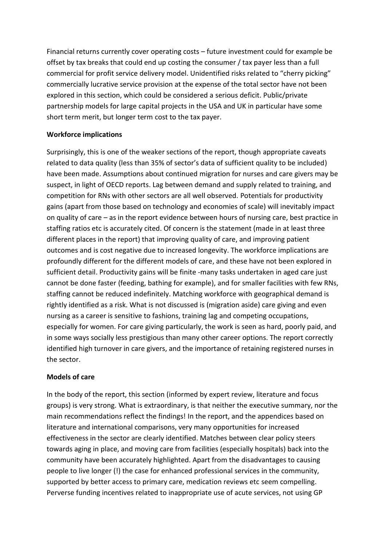Financial returns currently cover operating costs – future investment could for example be offset by tax breaks that could end up costing the consumer / tax payer less than a full commercial for profit service delivery model. Unidentified risks related to "cherry picking" commercially lucrative service provision at the expense of the total sector have not been explored in this section, which could be considered a serious deficit. Public/private partnership models for large capital projects in the USA and UK in particular have some short term merit, but longer term cost to the tax payer.

## **Workforce implications**

Surprisingly, this is one of the weaker sections of the report, though appropriate caveats related to data quality (less than 35% of sector's data of sufficient quality to be included) have been made. Assumptions about continued migration for nurses and care givers may be suspect, in light of OECD reports. Lag between demand and supply related to training, and competition for RNs with other sectors are all well observed. Potentials for productivity gains (apart from those based on technology and economies of scale) will inevitably impact on quality of care – as in the report evidence between hours of nursing care, best practice in staffing ratios etc is accurately cited. Of concern is the statement (made in at least three different places in the report) that improving quality of care, and improving patient outcomes and is cost negative due to increased longevity. The workforce implications are profoundly different for the different models of care, and these have not been explored in sufficient detail. Productivity gains will be finite -many tasks undertaken in aged care just cannot be done faster (feeding, bathing for example), and for smaller facilities with few RNs, staffing cannot be reduced indefinitely. Matching workforce with geographical demand is rightly identified as a risk. What is not discussed is (migration aside) care giving and even nursing as a career is sensitive to fashions, training lag and competing occupations, especially for women. For care giving particularly, the work is seen as hard, poorly paid, and in some ways socially less prestigious than many other career options. The report correctly identified high turnover in care givers, and the importance of retaining registered nurses in the sector.

### **Models of care**

In the body of the report, this section (informed by expert review, literature and focus groups) is very strong. What is extraordinary, is that neither the executive summary, nor the main recommendations reflect the findings! In the report, and the appendices based on literature and international comparisons, very many opportunities for increased effectiveness in the sector are clearly identified. Matches between clear policy steers towards aging in place, and moving care from facilities (especially hospitals) back into the community have been accurately highlighted. Apart from the disadvantages to causing people to live longer (!) the case for enhanced professional services in the community, supported by better access to primary care, medication reviews etc seem compelling. Perverse funding incentives related to inappropriate use of acute services, not using GP